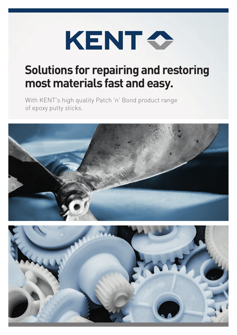

# **Solutions for repairing and restoring most materials fast and easy.**

With KENT's high quality Patch 'n' Bond product range of epoxy putty sticks.

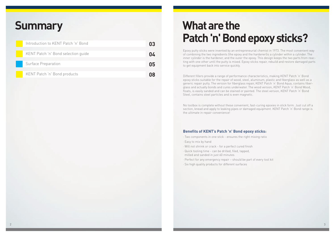# **What are the Patch 'n' Bond epoxy sticks?**

| Introduction to KENT Patch 'n' Bond | 03 |
|-------------------------------------|----|
|                                     |    |
| KENT Patch 'n' Bond selection guide | 04 |
|                                     |    |
| <b>Surface Preparation</b>          | 05 |
|                                     |    |
| KENT Patch 'n' Bond products        |    |
|                                     |    |

# **Summary**

Epoxy putty sticks were invented by an entrepreneurial chemist in 1973. The most convenient way of combining the two ingredients (the epoxy and the hardener)is a cylinder within a cylinder. The inner cylinder is the hardener, and the outer the epoxy. This design keeps the two parts from reacting with one other until the putty is mixed. Epoxy sticks repair, rebuild and restore damaged parts to get equipment back into service quickly.

Different fillers provide a range of performance characteristics, making KENT Patch 'n' Bond epoxy sticks suitable for the repair of wood, steel, aluminum, plastic and fiberglass as well as a generic repair putty. The version for fiberglass repair, KENT Patch 'n' Bond Aqua, contains fiberglass and actually bonds and cures underwater. The wood version, KENT Patch 'n' Bond Wood, floats, is easily sanded and can be stained or painted. The steel version, KENT Patch 'n' Bond Steel, contains steel particles and is even magnetic.

No toolbox is complete without these convenient, fast-curing epoxies in stick form. Just cut off a section, knead and apply to leaking pipes or damaged equipment. KENT Patch 'n' Bond range is the ultimate in repair convenience!

# **Benefits of KENT's Patch 'n' Bond epoxy sticks:**

- · Two components in one stick ensures the right mixing ratio
- · Easy to mix by hand
- · Will not shrink or crack for a perfect cured finish
- · Quick tooling time can be drilled, filed, tapped, milled and sanded in just 60 minutes
- · Perfect for any emergency repair should be part of every tool kit
- · Six high quality products for different surfaces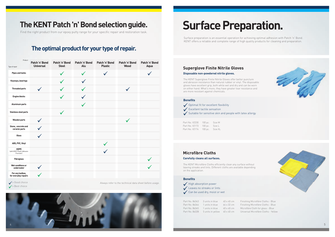# **The KENT Patch 'n' Bond selection guide.**

Find the right product from our epoxy putty range for your specific repair and restoration task.

# **The optimal product for your type of repair.**

# **Superglove Finite Nitrile Gloves Disposable non-powdered nitrile gloves.**

ing Microfibre Cloths - Blue ing Microfibre Cloths - Blue Part No. 86345 1 units in blue 40 x 40 cm Microfibre Cloth for glass - Blue Part No. 86328 5 units in yellow 40 x 40 cm Universal Microfibre Cloths - Yellow

| <b>Benefits</b>               |                                                           |
|-------------------------------|-----------------------------------------------------------|
|                               | Optimal fit for excellent flexibility                     |
| Excellent tactile sensation   |                                                           |
|                               | Suitable for sensitive skin and people with latex allergy |
|                               |                                                           |
| Part No. V2230 100 pc. Size M |                                                           |
| Part No. V2173 100 pc. Size L |                                                           |

The KENT Superglove Finite Nitrile Gloves offer better puncture and abrasion resistance than natural rubber or vinyl. The disposable gloves have excellent grip, both while wet and dry and can be worn on either hand. What's more, they have greater tear resistance and are more resistant against chemicals.

# **Surface Preparation.**

| Product<br>Type of repair                                                | Patch 'n' Bond<br><b>Universal</b> | Patch 'n' Bond<br><b>Steel</b> | Patch 'n' Bond<br>Alu | Patch 'n' Bond<br><b>Plastic</b> | Patch 'n' Bond<br><b>Wood</b> | Patch 'n' Bond<br>Aqua |
|--------------------------------------------------------------------------|------------------------------------|--------------------------------|-----------------------|----------------------------------|-------------------------------|------------------------|
| <b>Pipes and tanks</b>                                                   |                                    |                                |                       |                                  |                               |                        |
| Keyways, bearings                                                        |                                    |                                |                       |                                  |                               |                        |
| <b>Threaded parts</b>                                                    |                                    |                                |                       |                                  |                               |                        |
| <b>Engine blocks</b>                                                     |                                    |                                |                       |                                  |                               |                        |
| <b>Aluminum parts</b>                                                    |                                    |                                |                       |                                  |                               |                        |
| <b>Stainless steel parts</b>                                             |                                    | $\checkmark$                   |                       |                                  |                               |                        |
| <b>Wooden parts</b>                                                      |                                    |                                |                       |                                  |                               |                        |
| Stone, concrete and<br>ceramic parts                                     |                                    |                                |                       |                                  |                               |                        |
| Glass                                                                    |                                    |                                |                       |                                  |                               |                        |
| ABS, PVC, Vinyl                                                          |                                    |                                |                       |                                  |                               |                        |
| <b>HDPE</b><br>(with KENT Plastic Adhesion<br>Promoter)                  |                                    |                                |                       |                                  |                               |                        |
| <b>Fibreglass</b>                                                        |                                    |                                |                       |                                  |                               |                        |
| Wet conditions or<br>underwater                                          |                                    |                                |                       |                                  |                               |                        |
| For any toolbox,<br>for everyday repairs                                 |                                    |                                |                       |                                  |                               |                        |
| $\angle$ - Good choice<br>A <sub>1</sub><br><b>CONTRACTOR</b> CONTRACTOR |                                    |                                |                       |                                  |                               |                        |

 $\angle$  = Best choice

 $\checkmark$  = Good choice choice choice the technical data sheet before usage.

Surface preparation is an essential operation for achieving optimal adhesion with Patch 'n' Bond. KENT offers a reliable and complete range of high quality products for cleaning and preparation.

### **Microfibre Cloths**

#### **Carefully cleans all surfaces.**

Part No. V2174 100 pc. Size XL

The KENT Microfibre Cloths efficiently clean any surface without leaving streaks and lints. Different cloths are available depending on the application.

#### **Benefits**

| High absorption power<br>Leaves no streaks or lints<br>Can be used dry, moist or wet |                 |            |         |  |  |  |  |
|--------------------------------------------------------------------------------------|-----------------|------------|---------|--|--|--|--|
| Part No. 86343                                                                       | 3 units in blue | 40 x 40 cm | Finishi |  |  |  |  |
| Part No. 86344                                                                       | 1 units in blue | 64 x 32 cm | Finishi |  |  |  |  |







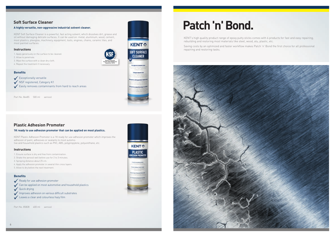# **Patch 'n' Bond.**

KENT's high quality product range of epoxy putty sticks comes with 6 products for fast and easy repairing, rebuilding and restoring most materials like steel, wood, alu, plastic, etc.

Saving costs by an optimized and faster workflow makes Patch 'n' Bond the first choice for all professional repairing and restoring tasks.





# **Soft Surface Cleaner**

#### **A highly versatile, non-aggressive industrial solvent cleaner.**

KENT Soft Surface Cleaner is a powerful, fast acting solvent, which dissolves dirt, grease and oil without damaging delicate surfaces. It can be used on: metal, aluminum, wood, cement, most plastics, plexiglas, machinery, equipment, tools, engines, chains, ceramic tiles, and most painted surfaces.

- 1. Apply generously on the surface to be cleaned.
- 2. Allow to penetrate.
- 3. Wipe the surface with a clean dry cloth.
- 4. Repeat the treatment if necessary.

#### **Instructions**

Part No. 86485 500 ml aerosol



#### **Benefits**

- $\sqrt{\frac{1}{2}}$  Exceptionally versatile
- **V** NSF registered, Category K1
- $\checkmark$  Easily removes contaminants from hard to reach areas

# **Plastic Adhesion Promoter**

#### **1K ready to use adhesion promoter that can be applied on most plastics.**

KENT Plastic Adhesion Promoter is a 1K ready for use adhesion promoter which improves the adhesion of paint, adhesives or sealants to most automotive and household plastics such as PVC, ABS, polypropylene, polyurethane, etc.

Part No. 85828 400 ml aerosol



- 1. Ensure surface is dry and free from contamination.
- 2. Shake the aerosol well before use for 2 to 3 minutes.
- 3. Spraying distance about 25 cm.
- 4. Apply the adhesion promoter in several thin cross layers.
- 5. Allow to dry before the next treatment.

#### **Instructions**

#### **Benefits**

- $\sqrt{\phantom{a}}$  Ready for use adhesion promoter
- $\checkmark$  Can be applied on most automotive and household plastics
- $\sqrt{\phantom{0}}$  Quick drying
- $\blacktriangleright$  Improves adhesion on various difficult substrates
- $\checkmark$  Leaves a clear and colourless hazy film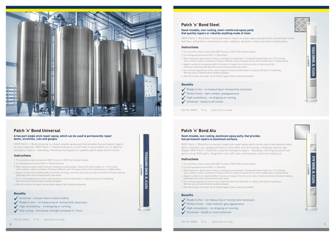









### **Patch 'n' Bond Universal**

#### **A two part single stick repair epoxy, which can be used to permanently repair dents, scratches, cuts and gouges.**

KENT Patch 'n' Bond Universal is a Hand-mixable epoxy putty that provides fast permanent repairs to many materials. KENT Patch 'n' Bond Universal is a must-have in every toolbox as it is ideal for emergency repairs – rebuilding, reforming missing parts or gaskets, patch leaks and fill cracks.

- 1. First sand then clean surface with KENT Acrysol or KENT Soft Surface Cleaner.
- 2. Cut off required amount of Patch 'n' Bond Universal.
- 3. Wear impervious gloves when mixing or handling uncured product. Knead with damp fingers for 1 to 2 minutes until a uniform colour is achieved. If mixing is difficult, warm the epoxy stick to room temperature or slightly above.
- 4. Apply to surface to be repaired within 2 minutes of mixing. Force into any cracks or holes and strike off excess material, preferably with a tool moistened with clean water
- 5. For a smooth appearance of the cured compound, hand rub with water or a damp cloth prior to hardening. Remove excess material before hardening begins.
- 6. After 60 minutes, the repair can be drilled, tapped, filed, sanded and painted.

#### **Instructions**

#### **Benefits**

- $\sqrt{\frac{1}{\sqrt{1-\frac{1}{\sqrt{1-\frac{1}{\sqrt{1-\frac{1}{\sqrt{1-\frac{1}{\sqrt{1-\frac{1}{\sqrt{1-\frac{1}{\sqrt{1-\frac{1}{\sqrt{1-\frac{1}{\sqrt{1-\frac{1}{\sqrt{1-\frac{1}{\sqrt{1-\frac{1}{\sqrt{1-\frac{1}{\sqrt{1-\frac{1}{\sqrt{1-\frac{1}{\sqrt{1-\frac{1}{\sqrt{1-\frac{1}{\sqrt{1-\frac{1}{\sqrt{1-\frac{1}{\sqrt{1-\frac{1}{\sqrt{1-\frac{1}{\sqrt{1-\frac{1}{\sqrt{1-\frac{1}{\sqrt{1-\frac{1}{\sqrt{1-\frac$
- $\sqrt{\ }$  Ready to mix no measuring or mixing tools necessary
- $\blacktriangleright$  High consistency no dripping or running
- $\blacktriangleright$  Fast curing functional strength achieved in 1 hour

Part No. 86561 117 q putty stick in a tube

- 1. First sand then clean surface with KENT Acrysol or KENT Soft Surface Cleaner. 2. Cut off required amount of Patch 'n' Bond Steel.
- 3. Wear impervious gloves when mixing or handling uncured product. Knead with damp fingers for 1 to 2 minutes until a uniform colour is achieved. If mixing is difficult, warm the epoxy stick to room temperature or slightly above.
- 4. Apply to surface to be repaired within 3 minutes of mixing. Force into any cracks or holes and strike off excess material, preferably with a tool moistened with clean water.
- 5. For a smooth appearance of the cured compound, hand rub with water or a damp cloth prior to hardening. Remove excess material before hardening begins.
- 6. After 60 minutes, the repair can be drilled, tapped, filed, sanded and painted.

#### **Instructions**

#### **Benefits**

- $\blacktriangleright$  Ready to mix no measuring or mixing tools necessary
- $\blacktriangleright$  Perfect finish dark metallic greappearance
- $\blacktriangleright$  High consistency no dripping or running
- $\sqrt{\frac{1}{10}}$  Universal bonds to all metals

Part No. 86025 114 g putty stick in a tube

# **Patch 'n' Bond Steel**

#### **Hand-mixable, non-rusting, steel–reinforced epoxy putty that quickly repairs or rebuilds anything made of steel.**

KENT Patch 'n' Bond Steel makes permanent repairs on water pipes and pipe joints, oil and water tanks, fuel lines, carburettors, transmission cases, radiators, ductwork, cracks and voids in metal pieces.

# **Patch 'n' Bond Alu**

#### **Hand-mixable, non-rusting, aluminium epoxy putty, that provides fast permanent repairs to aluminium surfaces.**

KENT Patch 'n' Bond Alu is a two part single stick repair epoxy, which can be used to permanently repair dents, scratches, cuts, gouges and holes in many items such as housings, mouldings, injection type shapes. KENT Patch 'n' Bond Alu is ideal for emergency repairs – rebuilding, reforming any aluminium parts such as HVAC parts, refrigeration units, A/C units, machine parts, aluminium roofing, etc.

- 1. First sand then clean surface with KENT Acrysol or KENT Soft Surface Cleaner. 2. Cut off required amount of Patch 'n' Bond Alu.
- 3. Wear impervious gloves when mixing or handling uncured product. Knead with damp fingers for 1 to 2 minutes
- until a uniform colour is achieved. If mixing is difficult, warm the epoxy stick to room temperature or slightly above. 4. Apply to surface to be repaired within 2 minutes of mixing. Force into any cracks or holes and strike off excess material, preferably with a tool moistened with clean water
- 5. For a smooth appearance of the cured compound, hand rub with water or a damp cloth prior to hardening. Remove excess material before hardening begins.
- 6. After 60 minutes, the repair can be drilled, tapped, filed, sanded and painted.

#### **Instructions**

#### **Benefits**

- $\blacktriangleright$  Ready to mix no measuring or mixing tools necessary
- $\sqrt{\phantom{a}}$  Perfect finish clear metallic grey appearance
- $\blacktriangleright$  High consistency no dripping or running
- $\sqrt{\frac{1}{100}}$  Universal bonds to most materials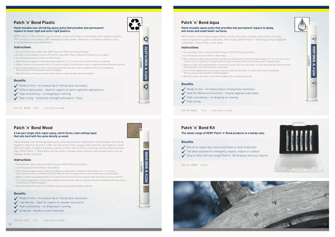### **Patch 'n' Bond Wood**

#### **A two part single stick repair epoxy, which forms a fast setting repair that sets hard with the same density as wood.**

Hand-mixable non-shrinking epoxy putty, which becomes an integral part of the wooden item being repaired, rebuilt or restored. It fills nail and screw holes, gouges and scratches and replaces rotted and worn wood. It repairs moulding, panels, frames and furniture including levelling table and chair legs. KENT Patch 'n' Bond Wood can be used to reshape wood carvings and wooden parts such as handles, knobs and pulls.

- 1. First sand then clean surface with KENT Acrysol or KENT Soft Surface Cleaner.
- 2. Cut off required amount of Patch 'n' Bond Wood.
- 3. Wear impervious gloves when mixing or handling uncured product. Knead with damp fingers for 1 to 2 minutes until a uniform colour is achieved. If mixing is difficult, warm the epoxy stick to room temperature or slightly above.
- 4. Apply to surface to be repaired within 2 minutes of mixing. Force into any cracks or holes and strike off excess material. 5. For a smooth appearance of the cured compound, hand rub with water or a damp cloth prior to hardening. Remove excess
- material before hardening begins. 6. After 60 minutes, the repair can be drilled, sawed, carved, sanded, stained or painted.

#### **Instructions**

#### **Benefits**

- $\bigvee$  Ready to mix no measuring or mixing tools necessary
- $\bigvee$  Low density ideal for repairs on wooden structures
- $\blacktriangleright$  High consistency no dripping or running
- $\sqrt{}$  Universal bonds to most materials















- 1. First sand then clean surface with KENT Acrysol or KENT Soft Surface Cleaner. 2. Cut off required amount of Patch 'n' Bond Aqua.
- 3. Wear impervious gloves when mixing or handling uncured product. Knead with damp fingers for 1 to 2 minutes until a uniform colour is achieved. If mixing is difficult, warm the epoxy stick to room temperature or slightly above.
- 4. Apply to surface to be repaired within 2 minutes of mixing. Force into any cracks or holes and strike off excess material, preferably with a tool moistened with clean water.
- 5. For a smooth appearance of the cured compound, hand rub with water or a damp cloth prior to hardening. Remove excess material before hardening begins.
- 6. After 60 minutes, the repair can be drilled, tapped, filed, sanded and painted.

#### **Instructions**

#### **Benefits**

- $\blacktriangleright$  Ready to mix no measuring or mixing tools necessary
- $\bigvee$  Ideal for Marine environment may be applied underwater
- $\sqrt{\frac{1}{1}}$  High consistency no dripping or running
- $\sqrt{\phantom{a}}$  Fast curing

Part No. 86563 114 g putty stick in a tube

## **Patch 'n' Bond Aqua**

#### **Hand-mixable epoxy putty that provides fast permanent repairs to damp, wet areas and underwater surfaces.**

KENT Patch 'n' Bond Aqua repairs dents, cracks and holes in decks, hulls, pools, hot tubs, marine equipment, gutters and tanks. After mixing, KENT Patch 'n' Bond Aqua may be applied underwater, either fresh or salt water.

# **Patch 'n' Bond Kit**

#### **The whole range of KENT Patch 'n' Bond products in a handy case.**

- 1. First sand then clean surface with KENT Acrysol or KENT Soft Surface Cleaner.
- 2. On hard-to-bond plastics, such as PE and PP, apply KENT Plastic Adhesion Promoter in cross-layers. 3. Cut off required amount of Patch 'n' Bond Plastic.
- 4. Wear impervious gloves. Knead with damp fingers for 1 to 2 minutes until a uniform colour is achieved.
- 5. Apply to surface to be repaired within 2 minutes of mixing. Force into any cracks or holes and strike off excess material.
- 6. For a smooth appearance of the cured compound, hand rub with water or a damp cloth prior to hardening.
- Remove excess material before hardening begins.
- 7. After 60 minutes, the repair can be drilled, sawed, carved, sanded, stained or painted.

#### **Instructions**

#### **Benefits**

- $\blacktriangleright$  Ready to mix no measuring or mixing tools necessary
- $\checkmark$  Softest epoxy putty ideal for repairs on semi-rigid and rigid plastics
- $\blacktriangleright$  High consistency no dripping or running
- $\blacktriangleright$  Fast curing functional strength achieved in 1 hour

Part No. 86562 125 g putty stick in a tube

# **Patch 'n' Bond Plastic**

#### **Hand-mixable non-shrinking epoxy putty that provides fast permanent repairs to most rigid and semi-rigid plastics.**

KENT Patch 'n' Bond Plastic repairs dents, cracks and holes in automotive trims, appliance parts, PVC furniture, vinyl sidings, ABS downspouts and gutters. Adhesion is limited on plastics such as polypropylene and polyethylene.

#### **Benefits**

- $\sqrt{\ }$  One kit to repair any cracks and holes in most materials!
- $\sqrt{\ }$  The ideal solution for emergency repairs, indoor or outdoor
- Easy to refill with any single Patch'n' Bond epoxy stick you require

Part No. Z0028 full kit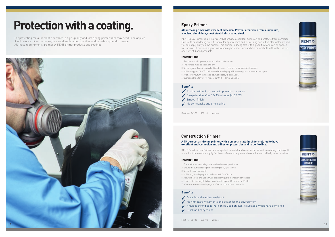# **Protection with a coating.**

For protecting metal or plastic surfaces, a high-quality and fast drying primer filler may need to be applied: it will remove minor damages, has excellent bonding qualities and provides optimal coverage. All these requirements are met by KENT primer products and coatings.



Part No. 86375 500 ml aerosol





### **Epoxy Primer**

#### **All purpose primer with excellent adhesion. Prevents corrosion from aluminium, anodised aluminium, sheet steel & zinc coated steel.**

KENT Epoxy Primer is a 1-K primer that provides excellent adhesion and protects from corrosion. Due to its quick drying time it is ideal for spot repairs and refinishing parts. It is also weldable and you can apply putty on the primer. This primer is drying fast with a good flow and can be applied wet-on-wet. It provides a good insualtion against moisture and it is compatible with water-based and solvent-based products.

- 1. Remove rust, dirt, grease, dust and other contaminants.
- 2. The surface must be clean and dry.
- 3. Shake vigorously until mixing ball breaks loose. Then shake for two minutes more.
- 4. Hold can approx. 20 25 cm from surface and spray with sweeping motion several thin layers.
- 5. After spraying, turn can upside down and spray to clean valve.
- 6. Overpaintable after 12 15 min. at 20 °C, 8 10 min. using IR.

- 1. Prepare the surface using suitable abrasives and panel wipe.
- 2. Ensure the surface to be primed is completely grease free.
- 3. Shake the can thoroughly.
- 4. Hold upright and spray from a distance of 15 to 20 cm.
- 5. Apply thin layers and use a multi-coat technique to the required thickness.
- 6. Leave to dry thoroughly between each coat (approx. 20 minutes at 20 °C).
- 7. After use, invert can and spray for a few seconds to clear the nozzle.

#### **Instructions**

#### **Instructions**

#### **Benefits**

- $\sqrt{\frac{1}{\sqrt{\pi}}}$  Product will not run and will prevents corrosion
- $\checkmark$  Overpaintable after 12-15 minutes (at 20 °C)
- $\sqrt{\frac{1}{2}}$ Smooth finish
- $\sqrt{\ }$  No comebacks and time saving

#### **Benefits**

- $\sqrt{\phantom{a}}$  Durable and weather resistant
- $\bigvee$  No high toxicity elements and better for the environment
- $\checkmark$  Provides strong coat that can be used on plastic surfaces which have some flex
- $\sqrt{\phantom{a}}$  Quick and easy to use

### **Construction Primer**

#### **A 1K aerosol air drying primer, with a smooth matt finish formulated to have excellent anti-corrosion and adhesion properties and to be flexible.**

KENT Construction Primer can be applied to metal and wood surfaces and to existing coatings. It should not be used on highly flexible surfaces or any area where adhesion is likely to be impaired.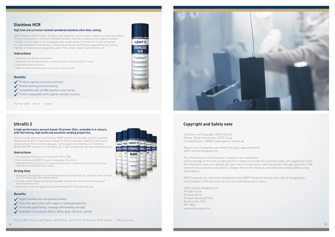# **Copyright and Safety note**

Publisher and Copyright: KENT UK Ltd. Photos: Shutterstock.com, KENT Group Concept/Layout: VAMOS! www.agentur-vamos.de

Reprint, also in excerpts, permitted only upon agreement with KENT (United Kingdom) Ltd.

The information in this document is based on our experience and knowledge at the time of publication.It is meant to provide the qualified reader with application hints. The information does not absolve the user from first testing the selected product through application. We recommend a personal consultation. Always refer to the technical and safety data sheets before using the products.

KENT products are constantly developed further.KENT therefore reserves the right of changing any technicaldata in this document at any time and without prior notice.

KENT (United Kingdom) Ltd Forsyth House Pitreavie Drive Pitreavie Business Park Dunfermline, Fife KY11 8US www.kenteurope.com

Part No. 16040 567 ml aerosol

Part No. 86071 (black), 86072 (grey), 86073 (white), 86152 (red), 86153 (blue), 86154 (yellow) – 500 ml aerosols



**KENTO STAINLESS HCR** 



# **Stainless HCR**

#### **High heat and corrosion resistant powdered stainless steel alloy coating.**

KENT Stainless HCR contains stainless steel pigments, which makes it ideal for protecting surfaces that are susceptible to corrosion. Provides excellent resistance and protection against weather, sunlight, oil and water. It can be sprayed onto a wide variety of metals for surface protection. It is also suitable for recovering or retouching stainless steels.Typical applications are marine, highway and agricultural equipment, paper mills, boiler repairs, water meters, etc.

- 1. Clean surface to remove contamination.
- 2. Shake well, until the agitator begins to rattle. Continue to shake for at least 1 minute.
- 3. Spray directly onto the surface.
- 4. After use, invert the can and give a short spray to clear the valve.

- 1. Area to be painted should be final flatted with P180 or P240.
- 2. Clean repair area with KENT Acrysol or a panel wipe. Allow to dry.
- 3. Shake the Ultrafill 2 aerosol can. It is important that the can is shaken for a minimum of 2 minutes from the time that the ball starts moving.

- 1. Drying times are dependant on ambient temperatures, but are generally 15 20 minutes when air dryed or 5 - 10 minutes when Infra red/oven baked.
- 2. If no heat or other UV type of drying aid is available, the drying time can be reduced by passing air over the painted surface.
- 3. Heavy coats or many fast-applied coats will take between 30 45 minutes to dry fully.

#### **Instructions**

#### **Instructions**

#### **Drying time**

#### **Benefits**

- $\blacktriangleright$  Highly flexible one-component product
- $\bigvee$  Dries fast and comes with superior sanding properties
- $\blacktriangleright$  Extremely good filling, coverage and bonding strength
- $\blacktriangleright$  Available in six colours (black, white, grey, red, blue, yellow)

#### **Benefits**

- $\sqrt{\frac{1}{2}}$  Protects against corrosion and heat
- $\sqrt{\ }$  Resists peeling and discoloring
- $\sqrt{\frac{1}{2}}$  Compatible with all 300 stainless steel series
- $\blacktriangleright$  Finish comparable with original stainless surface

# **Ultrafill 2**

#### **A high performance aerosol based 1K primer filler, available in 6 colours, with fast drying, high build and excellent sanding properties.**

Due to its high adhesion and flexibility, KENT Ultrafill 2 is the ideal solution to primer filling surfaces prior to painting on plastic or metal substrates. Ideal for small repair areas such as minor accident damage, rub throughs when flatting, etc. Tested to BS EN ISO 9227 resistance to Salt Spray for 7 days and provides exceptional performance.